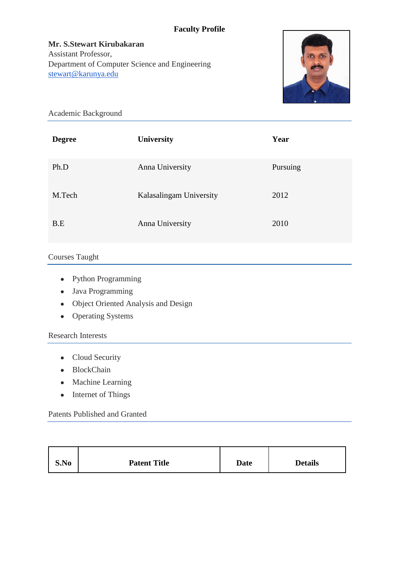## **Faculty Profile**

**Mr. S.Stewart Kirubakaran** Assistant Professor, Department of Computer Science and Engineering [stewart@karunya.edu](mailto:stewart@karunya.edu)



Academic Background

| <b>Degree</b> | University              | Year     |
|---------------|-------------------------|----------|
| Ph.D          | Anna University         | Pursuing |
| M.Tech        | Kalasalingam University | 2012     |
| B.E           | Anna University         | 2010     |

# Courses Taught

- Python Programming
- Java Programming
- Object Oriented Analysis and Design
- Operating Systems

### Research Interests

- Cloud Security
- BlockChain
- Machine Learning
- Internet of Things

### Patents Published and Granted

| S.No | <b>Patent Title</b> | <b>Date</b> | <b>Details</b> |
|------|---------------------|-------------|----------------|
|------|---------------------|-------------|----------------|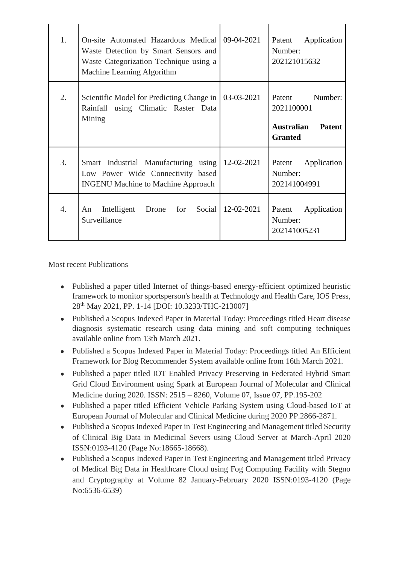| 1.               | On-site Automated Hazardous Medical<br>Waste Detection by Smart Sensors and<br>Waste Categorization Technique using a<br>Machine Learning Algorithm | 09-04-2021        | Patent<br>Application<br>Number:<br>202121015632                                     |
|------------------|-----------------------------------------------------------------------------------------------------------------------------------------------------|-------------------|--------------------------------------------------------------------------------------|
| 2.               | Scientific Model for Predicting Change in<br>Rainfall using Climatic Raster Data<br>Mining                                                          | 03-03-2021        | Patent Number:<br>2021100001<br><b>Australian</b><br><b>Patent</b><br><b>Granted</b> |
| 3.               | Smart Industrial Manufacturing using<br>Low Power Wide Connectivity based<br><b>INGENU</b> Machine to Machine Approach                              | 12-02-2021        | Application<br>Patent<br>Number:<br>202141004991                                     |
| $\overline{4}$ . | Intelligent<br>for<br>Drone<br>An<br>Surveillance                                                                                                   | Social 12-02-2021 | Patent<br>Application<br>Number:<br>202141005231                                     |

### Most recent Publications

- Published a paper titled Internet of things-based energy-efficient optimized heuristic framework to monitor sportsperson's health at Technology and Health Care, IOS Press, 28th May 2021, PP. 1-14 [DOI: 10.3233/THC-213007]
- Published a Scopus Indexed Paper in Material Today: Proceedings titled Heart disease diagnosis systematic research using data mining and soft computing techniques available online from 13th March 2021.
- Published a Scopus Indexed Paper in Material Today: Proceedings titled An Efficient Framework for Blog Recommender System available online from 16th March 2021.
- Published a paper titled IOT Enabled Privacy Preserving in Federated Hybrid Smart Grid Cloud Environment using Spark at European Journal of Molecular and Clinical Medicine during 2020. ISSN: 2515 – 8260, Volume 07, Issue 07, PP.195-202
- Published a paper titled Efficient Vehicle Parking System using Cloud-based IoT at European Journal of Molecular and Clinical Medicine during 2020 PP.2866-2871.
- Published a Scopus Indexed Paper in Test Engineering and Management titled Security of Clinical Big Data in Medicinal Severs using Cloud Server at March-April 2020 ISSN:0193-4120 (Page No:18665-18668).
- Published a Scopus Indexed Paper in Test Engineering and Management titled Privacy of Medical Big Data in Healthcare Cloud using Fog Computing Facility with Stegno and Cryptography at Volume 82 January-February 2020 ISSN:0193-4120 (Page No:6536-6539)